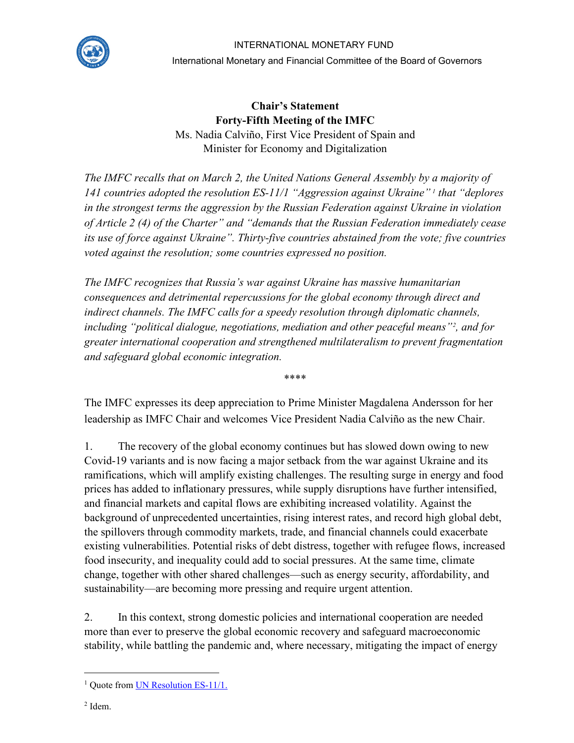

## INTERNATIONAL MONETARY FUND

International Monetary and Financial Committee of the Board of Governors

**Chair's Statement Forty-Fifth Meeting of the IMFC** Ms. Nadia Calviño, First Vice President of Spain and Minister for Economy and Digitalization

*The IMFC recalls that on March 2, the United Nations General Assembly by a majority of 141 countries adopted the resolution ES-11/1 "Aggression against Ukraine" [1](#page-0-0) that "deplores in the strongest terms the aggression by the Russian Federation against Ukraine in violation of Article 2 (4) of the Charter" and "demands that the Russian Federation immediately cease its use of force against Ukraine". Thirty-five countries abstained from the vote; five countries voted against the resolution; some countries expressed no position.*

*The IMFC recognizes that Russia's war against Ukraine has massive humanitarian consequences and detrimental repercussions for the global economy through direct and indirect channels. The IMFC calls for a speedy resolution through diplomatic channels, including "political dialogue, negotiations, mediation and other peaceful means"[2](#page-0-1) , and for greater international cooperation and strengthened multilateralism to prevent fragmentation and safeguard global economic integration.*

\*\*\*\*

The IMFC expresses its deep appreciation to Prime Minister Magdalena Andersson for her leadership as IMFC Chair and welcomes Vice President Nadia Calviño as the new Chair.

1. The recovery of the global economy continues but has slowed down owing to new Covid-19 variants and is now facing a major setback from the war against Ukraine and its ramifications, which will amplify existing challenges. The resulting surge in energy and food prices has added to inflationary pressures, while supply disruptions have further intensified, and financial markets and capital flows are exhibiting increased volatility. Against the background of unprecedented uncertainties, rising interest rates, and record high global debt, the spillovers through commodity markets, trade, and financial channels could exacerbate existing vulnerabilities. Potential risks of debt distress, together with refugee flows, increased food insecurity, and inequality could add to social pressures. At the same time, climate change, together with other shared challenges—such as energy security, affordability, and sustainability—are becoming more pressing and require urgent attention.

2. In this context, strong domestic policies and international cooperation are needed more than ever to preserve the global economic recovery and safeguard macroeconomic stability, while battling the pandemic and, where necessary, mitigating the impact of energy

<span id="page-0-1"></span><span id="page-0-0"></span><sup>&</sup>lt;sup>1</sup> Quote fro[m UN Resolution ES-11/1.](https://digitallibrary.un.org/record/3965290?ln=en)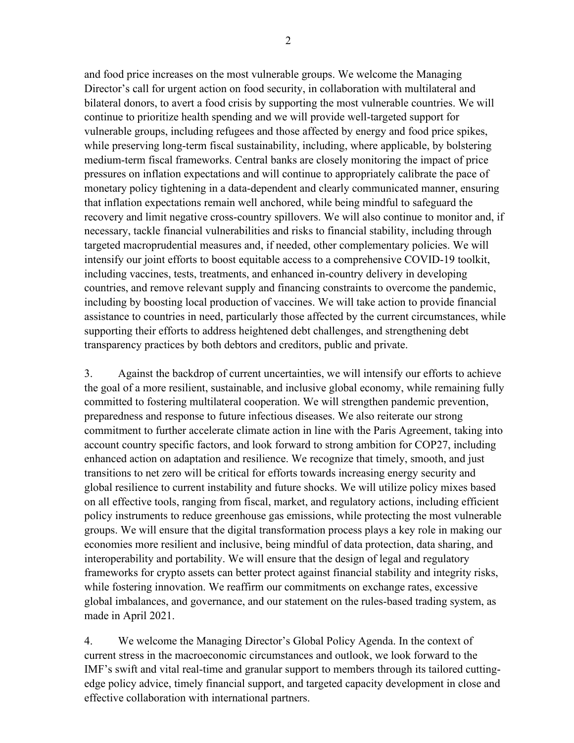and food price increases on the most vulnerable groups. We welcome the Managing Director's call for urgent action on food security, in collaboration with multilateral and bilateral donors, to avert a food crisis by supporting the most vulnerable countries. We will continue to prioritize health spending and we will provide well-targeted support for vulnerable groups, including refugees and those affected by energy and food price spikes, while preserving long-term fiscal sustainability, including, where applicable, by bolstering medium-term fiscal frameworks. Central banks are closely monitoring the impact of price pressures on inflation expectations and will continue to appropriately calibrate the pace of monetary policy tightening in a data-dependent and clearly communicated manner, ensuring that inflation expectations remain well anchored, while being mindful to safeguard the recovery and limit negative cross-country spillovers. We will also continue to monitor and, if necessary, tackle financial vulnerabilities and risks to financial stability, including through targeted macroprudential measures and, if needed, other complementary policies. We will intensify our joint efforts to boost equitable access to a comprehensive COVID-19 toolkit, including vaccines, tests, treatments, and enhanced in-country delivery in developing countries, and remove relevant supply and financing constraints to overcome the pandemic, including by boosting local production of vaccines. We will take action to provide financial assistance to countries in need, particularly those affected by the current circumstances, while supporting their efforts to address heightened debt challenges, and strengthening debt transparency practices by both debtors and creditors, public and private.

3. Against the backdrop of current uncertainties, we will intensify our efforts to achieve the goal of a more resilient, sustainable, and inclusive global economy, while remaining fully committed to fostering multilateral cooperation. We will strengthen pandemic prevention, preparedness and response to future infectious diseases. We also reiterate our strong commitment to further accelerate climate action in line with the Paris Agreement, taking into account country specific factors, and look forward to strong ambition for COP27, including enhanced action on adaptation and resilience. We recognize that timely, smooth, and just transitions to net zero will be critical for efforts towards increasing energy security and global resilience to current instability and future shocks. We will utilize policy mixes based on all effective tools, ranging from fiscal, market, and regulatory actions, including efficient policy instruments to reduce greenhouse gas emissions, while protecting the most vulnerable groups. We will ensure that the digital transformation process plays a key role in making our economies more resilient and inclusive, being mindful of data protection, data sharing, and interoperability and portability. We will ensure that the design of legal and regulatory frameworks for crypto assets can better protect against financial stability and integrity risks, while fostering innovation. We reaffirm our commitments on exchange rates, excessive global imbalances, and governance, and our statement on the rules-based trading system, as made in April 2021.

4. We welcome the Managing Director's Global Policy Agenda. In the context of current stress in the macroeconomic circumstances and outlook, we look forward to the IMF's swift and vital real-time and granular support to members through its tailored cuttingedge policy advice, timely financial support, and targeted capacity development in close and effective collaboration with international partners.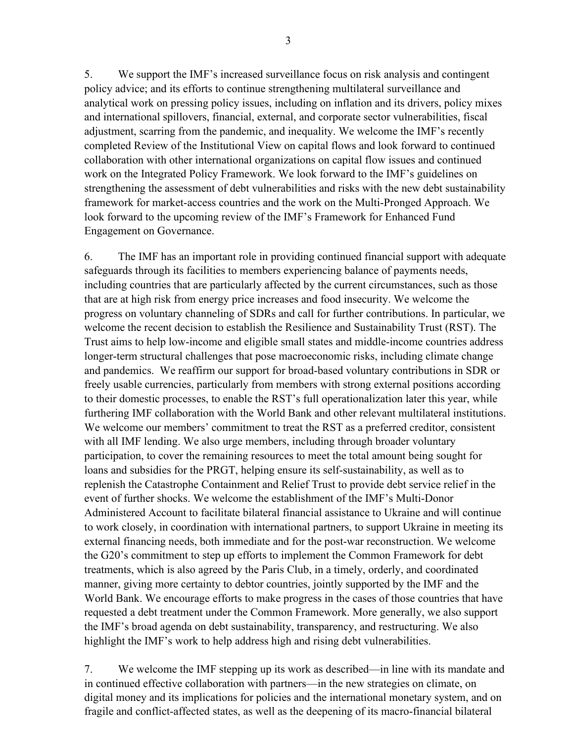5. We support the IMF's increased surveillance focus on risk analysis and contingent policy advice; and its efforts to continue strengthening multilateral surveillance and analytical work on pressing policy issues, including on inflation and its drivers, policy mixes and international spillovers, financial, external, and corporate sector vulnerabilities, fiscal adjustment, scarring from the pandemic, and inequality. We welcome the IMF's recently completed Review of the Institutional View on capital flows and look forward to continued collaboration with other international organizations on capital flow issues and continued work on the Integrated Policy Framework. We look forward to the IMF's guidelines on strengthening the assessment of debt vulnerabilities and risks with the new debt sustainability framework for market-access countries and the work on the Multi-Pronged Approach. We look forward to the upcoming review of the IMF's Framework for Enhanced Fund Engagement on Governance.

6. The IMF has an important role in providing continued financial support with adequate safeguards through its facilities to members experiencing balance of payments needs, including countries that are particularly affected by the current circumstances, such as those that are at high risk from energy price increases and food insecurity. We welcome the progress on voluntary channeling of SDRs and call for further contributions. In particular, we welcome the recent decision to establish the Resilience and Sustainability Trust (RST). The Trust aims to help low-income and eligible small states and middle-income countries address longer-term structural challenges that pose macroeconomic risks, including climate change and pandemics. We reaffirm our support for broad-based voluntary contributions in SDR or freely usable currencies, particularly from members with strong external positions according to their domestic processes, to enable the RST's full operationalization later this year, while furthering IMF collaboration with the World Bank and other relevant multilateral institutions. We welcome our members' commitment to treat the RST as a preferred creditor, consistent with all IMF lending. We also urge members, including through broader voluntary participation, to cover the remaining resources to meet the total amount being sought for loans and subsidies for the PRGT, helping ensure its self-sustainability, as well as to replenish the Catastrophe Containment and Relief Trust to provide debt service relief in the event of further shocks. We welcome the establishment of the IMF's Multi-Donor Administered Account to facilitate bilateral financial assistance to Ukraine and will continue to work closely, in coordination with international partners, to support Ukraine in meeting its external financing needs, both immediate and for the post-war reconstruction. We welcome the G20's commitment to step up efforts to implement the Common Framework for debt treatments, which is also agreed by the Paris Club, in a timely, orderly, and coordinated manner, giving more certainty to debtor countries, jointly supported by the IMF and the World Bank. We encourage efforts to make progress in the cases of those countries that have requested a debt treatment under the Common Framework. More generally, we also support the IMF's broad agenda on debt sustainability, transparency, and restructuring. We also highlight the IMF's work to help address high and rising debt vulnerabilities.

7. We welcome the IMF stepping up its work as described—in line with its mandate and in continued effective collaboration with partners—in the new strategies on climate, on digital money and its implications for policies and the international monetary system, and on fragile and conflict-affected states, as well as the deepening of its macro-financial bilateral